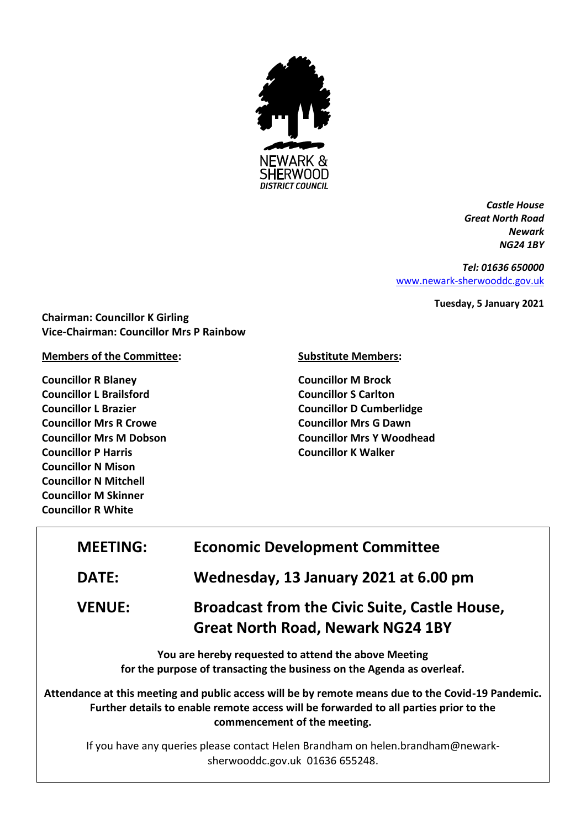

*Castle House Great North Road Newark NG24 1BY*

*Tel: 01636 650000* [www.newark-sherwooddc.gov.uk](http://www.newark-sherwooddc.gov.uk/)

**Tuesday, 5 January 2021**

**Chairman: Councillor K Girling Vice-Chairman: Councillor Mrs P Rainbow**

**Members of the Committee:**

**Councillor R Blaney Councillor L Brailsford Councillor L Brazier Councillor Mrs R Crowe Councillor Mrs M Dobson Councillor P Harris Councillor N Mison Councillor N Mitchell Councillor M Skinner Councillor R White**

**Substitute Members:**

**Councillor M Brock Councillor S Carlton Councillor D Cumberlidge Councillor Mrs G Dawn Councillor Mrs Y Woodhead Councillor K Walker**

| <b>MEETING:</b>                                                                                                                | <b>Economic Development Committee</b>                                                                                                                                                                                       |  |  |
|--------------------------------------------------------------------------------------------------------------------------------|-----------------------------------------------------------------------------------------------------------------------------------------------------------------------------------------------------------------------------|--|--|
| <b>DATE:</b>                                                                                                                   | Wednesday, 13 January 2021 at 6.00 pm                                                                                                                                                                                       |  |  |
| <b>VENUE:</b>                                                                                                                  | <b>Broadcast from the Civic Suite, Castle House,</b><br><b>Great North Road, Newark NG24 1BY</b>                                                                                                                            |  |  |
| You are hereby requested to attend the above Meeting<br>for the purpose of transacting the business on the Agenda as overleaf. |                                                                                                                                                                                                                             |  |  |
|                                                                                                                                | Attendance at this meeting and public access will be by remote means due to the Covid-19 Pandemic.<br>Further details to enable remote access will be forwarded to all parties prior to the<br>commencement of the meeting. |  |  |
| If you have any queries please contact Helen Brandham on helen.brandham@newark-<br>sherwooddc.gov.uk 01636 655248.             |                                                                                                                                                                                                                             |  |  |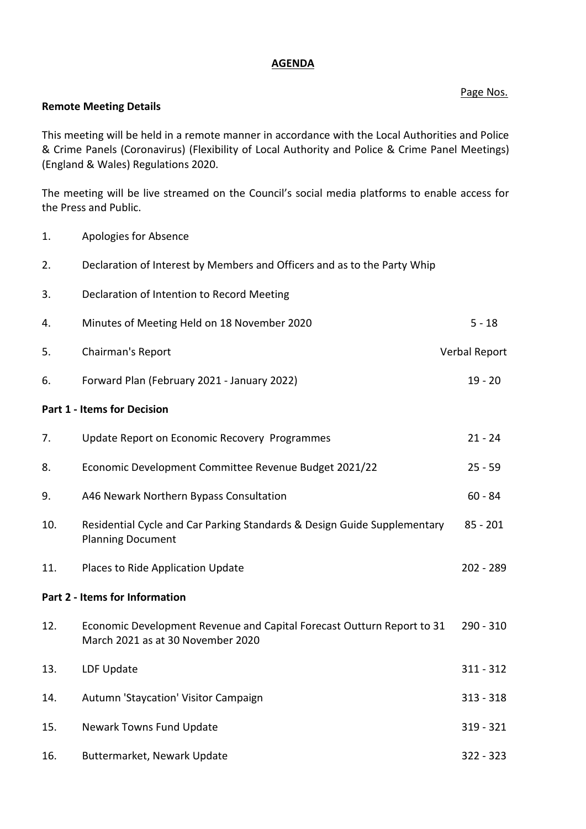## **AGENDA**

Page Nos.

## **Remote Meeting Details**

This meeting will be held in a remote manner in accordance with the Local Authorities and Police & Crime Panels (Coronavirus) (Flexibility of Local Authority and Police & Crime Panel Meetings) (England & Wales) Regulations 2020.

The meeting will be live streamed on the Council's social media platforms to enable access for the Press and Public.

- 1. Apologies for Absence
- 2. Declaration of Interest by Members and Officers and as to the Party Whip
- 3. Declaration of Intention to Record Meeting
- 4. Minutes of Meeting Held on 18 November 2020 5 18
- 5. Chairman's Report Verbal Report
- 6. Forward Plan (February 2021 January 2022) 19 20

#### **Part 1 - Items for Decision**

| 7.                             | Update Report on Economic Recovery Programmes                                                               | $21 - 24$   |  |
|--------------------------------|-------------------------------------------------------------------------------------------------------------|-------------|--|
| 8.                             | Economic Development Committee Revenue Budget 2021/22                                                       | $25 - 59$   |  |
| 9.                             | A46 Newark Northern Bypass Consultation                                                                     | $60 - 84$   |  |
| 10.                            | Residential Cycle and Car Parking Standards & Design Guide Supplementary<br><b>Planning Document</b>        | $85 - 201$  |  |
| 11.                            | Places to Ride Application Update                                                                           | $202 - 289$ |  |
| Part 2 - Items for Information |                                                                                                             |             |  |
| 12.                            | Economic Development Revenue and Capital Forecast Outturn Report to 31<br>March 2021 as at 30 November 2020 | $290 - 310$ |  |
| 13.                            | LDF Update                                                                                                  | $311 - 312$ |  |
| 14.                            | Autumn 'Staycation' Visitor Campaign                                                                        | $313 - 318$ |  |
| 15.                            | Newark Towns Fund Update                                                                                    | 319 - 321   |  |
| 16.                            | Buttermarket, Newark Update                                                                                 | $322 - 323$ |  |